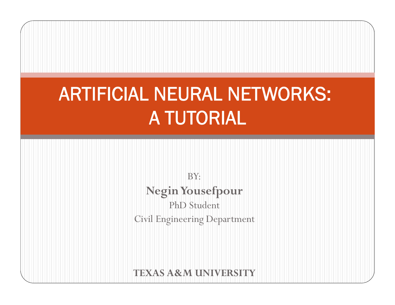## ARTIFICIAL NEURAL NETWORKS: A TUTORIAL

BY: **Negin Yousefpour** PhD Studen t Civil Engineering Department

**TEXAS A&M UNIVERSITY**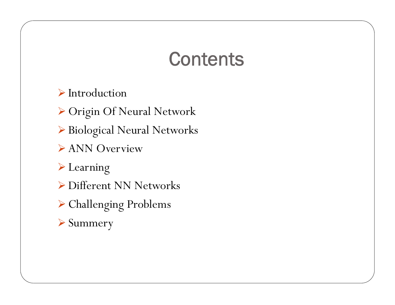#### **Contents**

 $\triangleright$  Introduction

¾ Origin Of Neural Network

¾ Biological Neural Networks

¾ ANN Overview

¾ Learning

- ¾ Different NN Networks
- $\triangleright$  Challenging Problems
- ¾ Summery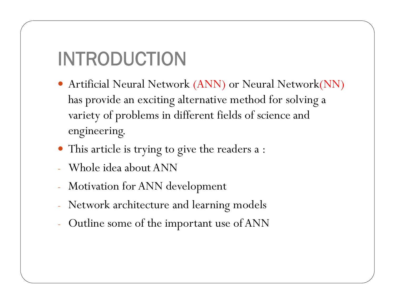## INTRODUCTION

- Artificial Neural Network (ANN) or Neural Network(NN) has provide an exciting alternative method for solving a variety of problems in different fields of science and engineering.
- This article is trying to give the readers a :
- Whole idea about ANN
- Motivation for ANN development
- Network architecture and learnin g models
- Outline some of the important use of ANN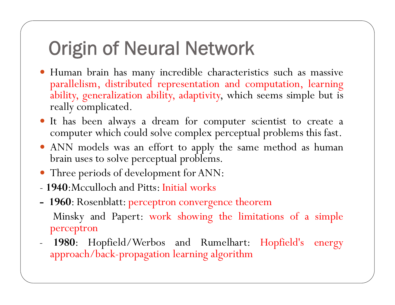### Ori gin of Neural Network

- y Human brain has many incredible characteristics such as massive parallelism, distributed representation and computation, learning ability, generalization ability, adaptivity, which seems simple but is really complicated.
- y It has been always <sup>a</sup> dream for computer scientist to create <sup>a</sup> computer which could solve complex perceptual problems this fast.
- ANN models was an effort to apply the same method as human brain uses to solve perceptual problems.
- Three periods of development for ANN:
- **1940**:Mcculloch and Pitts: Initial works
- **- <sup>1960</sup>**: Rosenblatt: perceptron convergence theorem Minsky and Papert: work showing the limitations of <sup>a</sup> simple perceptron
- **1980**: Ho pfield/Werbos and Rumelhart: Ho <sup>p</sup>field's energy approach/back-propagation learning algorithm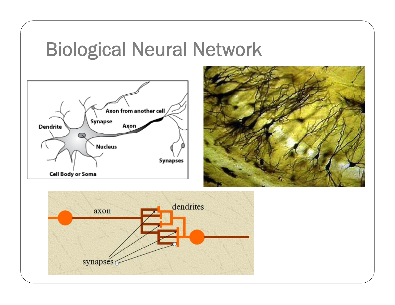#### Biological Neural Network





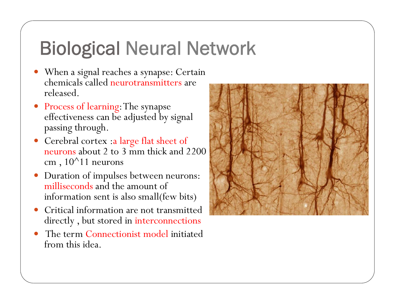### Biological Neural Network

- When a signal reaches a synapse: Certain chemicals called neurotransmitters are released.
- Process of learning: The synapse effectiveness can be adjusted by signal passing through.
- Cerebral cortex :a large flat sheet of neurons about 2 to 3 mm thick and 2200 cm,  $10^{\text{A}}11$  neurons
- $\bullet$  Duration of impulses between neurons: milliseconds and the amount of information sent is also small(few bits)
- 0 Critical information are not transmitted directly , but stored in interconnections
- $\bullet$  The term Connectionist model initiated from this idea.

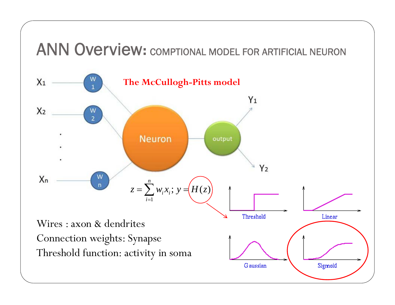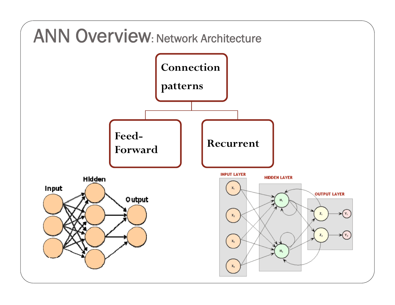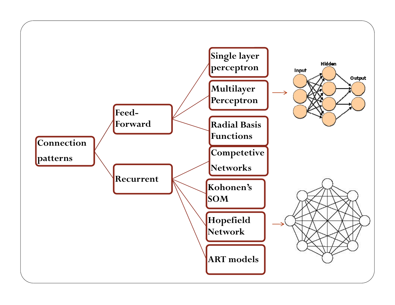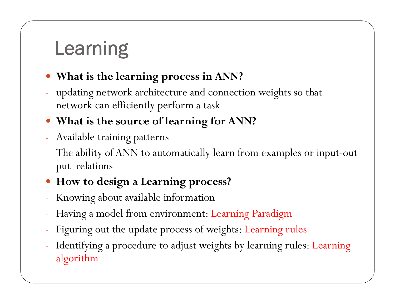## Learning

#### **• What is the learning process in ANN?**

 $\mathcal{L}_{\mathcal{A}}$  updating network architecture and connection weights so that network can efficiently perform a task

#### **• What is the source of learning for ANN?**

- Available training patterns
- $\mathcal{L}^{\text{max}}_{\text{max}}$  The ability of ANN to automatically learn from examples or input-out put relations

#### y **How to design a Learning process?**

- $\mathcal{L}_{\mathcal{A}}$ Knowing about available information
- $\mathcal{L}_{\mathcal{A}}$ Having a model from environment: Learning Paradigm
- $\mathcal{L}_{\mathcal{A}}$ Figuring out the update process of weights: Learning rules
- $\mathcal{L}^{\text{max}}_{\text{max}}$  Identifying a procedure to adjust weights by learning rules: Learning algorithm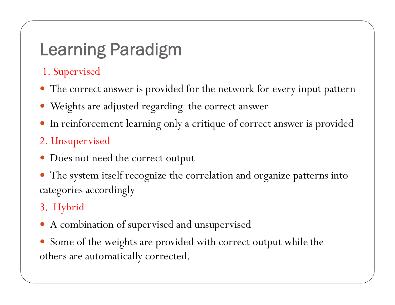#### Learning Paradigm

1. Supervised

- The correct answer is provided for the network for every input pattern
- Weights are adjusted regarding the correct answer
- $\bullet$ In reinforcement learning only a critique of correct answer is provided

#### 2. Unsupervised

- $\bullet$ Does not need the correct output
- $\bullet$ The system itself recognize the correlation and organize patterns into categories accordingly

#### 3. Hybrid

- A combination of supervised and unsupervised
- $\bullet$ Some of the weights are provided with correct output while the others are automatically corrected.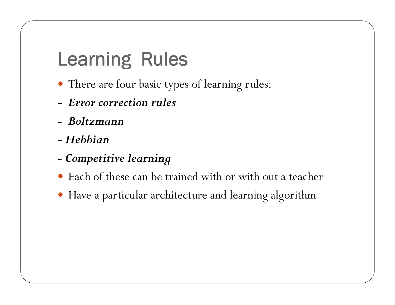### Learning Rules

- There are four basic types of learning rules:
- *- Error correction rules*
- *- Boltzmann*
- *- Hebbian*
- *- Competitive learning*
- Each of these can be trained with or with out a teacher
- y Have a particular architecture and learning algorithm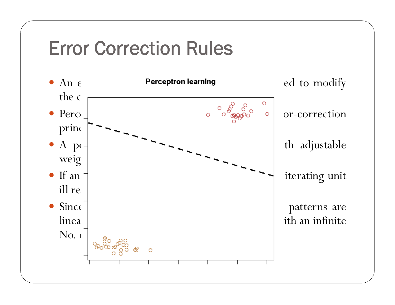#### Error Correction Rules

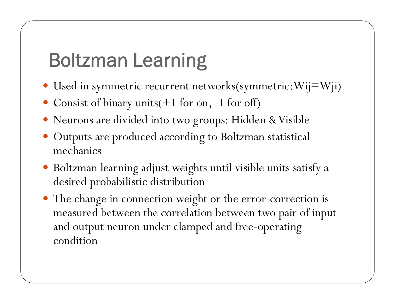## Boltzman Learning

- $\bullet\,$  Used in symmetric recurrent networks(symmetric:Wij $=$ Wji)
- Consist of binary units(+1 for on, -1 for off)
- y Neurons are divided into two groups: Hidden & Visible
- Outputs are produced according to Boltzman statistical mechanics
- Boltzman learning adjust weights until visible units satisfy a desired probabilistic distribution
- The change in connection weight or the error-correction is measured between the correlation between two pair of input and output neuron under clamped and free-operating condition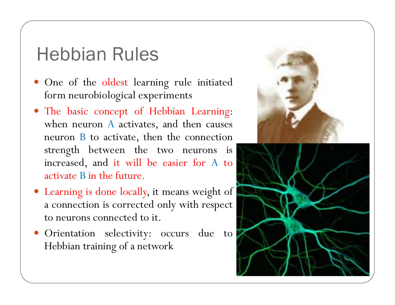#### Hebbian Rules

- One of the oldest learning rule initiated form neurobiological experiments
- The basic concept of Hebbian Learning: when neuron A activates, and then causes neuron B to activate, <sup>t</sup> hen t he connection strengt<sup>h</sup> between the two neurons is increased, and it will be easier for A to activate B in t h e future.
- Learning is done locally, it means weight of <sup>a</sup> connection is corrected onl y with res pec<sup>t</sup> to neurons connected to it.
- **•** Orientation selectivity: occurs due to Hebbian training of a network



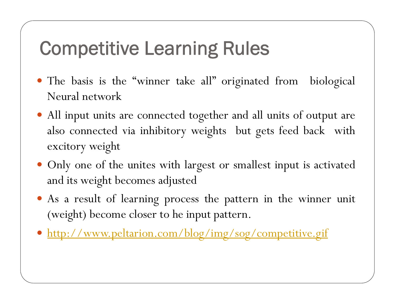### **Competitive Learning Rules**

- The basis is the "winner take all" originated from biological Neural network
- All input units are connected together and all units of output are also connected via inhibitory weights but gets feed back with excitory weight
- Only one of the unites with largest or smallest input is activated and its weight becomes adjusted
- As a result of learning process the pattern in the winner unit (weight) become closer to he input pattern.
- y http://www.peltarion.com/blog/img/sog/competitive.gif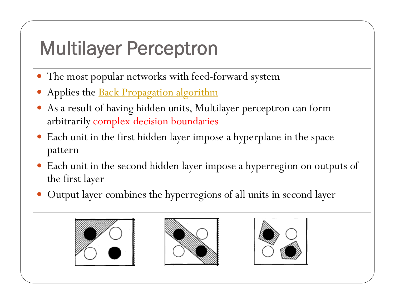## **Multilayer Perceptron**

- $\bullet$ The most popular networks with feed-forward system
- $\bullet$ Applies the Back Propagation algorithm
- $\bullet$  As a result of having hidden units, Multilayer perceptron can form arbitrarily complex decision boundaries
- $\bullet$ Each unit in the first hidden layer impose a hyperplane in the space pattern
- $\bullet$ Each unit in the second hidden layer impose a hyperregion on outputs of the first layer
- $\bullet$ Output layer combines the hyperregions of all units in second layer





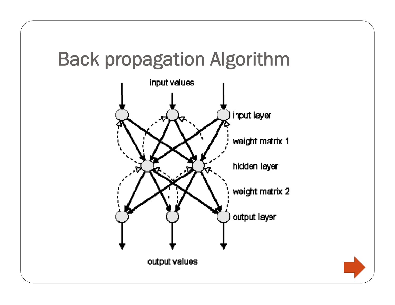#### Back propagation Algorithm



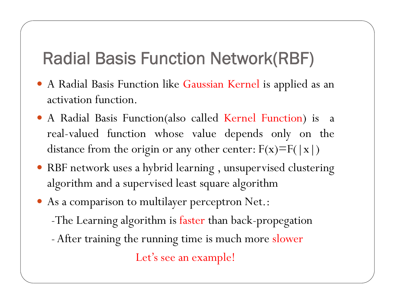#### Radial Basis Function Network(RBF)

- y <sup>A</sup> Radial Basis Function like Gaussian Kernel is applied as an activation function.
- y <sup>A</sup> Radial Basis Function(also called Kernel Function) is <sup>a</sup> real -valued function whose value depends only on the distance from the origin or any other center:  $F(x)=F(|x|)$
- RBF network uses a hybrid learning, unsupervised clustering algorithm and <sup>a</sup> supervised least square algorithm
- $\bullet$  As a comparison to multilayer perceptron Net.: -The Learning algorithm is faster than back-propegation
	- -After training the running time is much more slower

Let's see an example!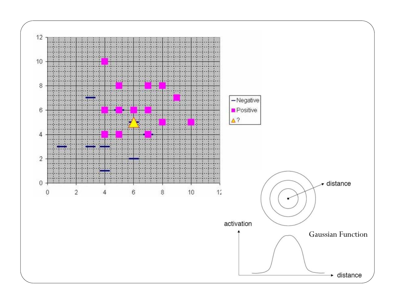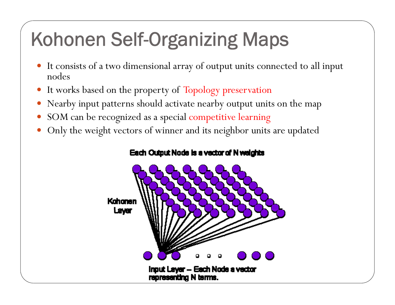## Kohonen Self-Organizing Maps

- y It consists of a two dimensional array of output units connected to all input nodes
- It works based on the property of Topology preservation
- Nearby input patterns should activate nearby output units on the map
- SOM can be recognized as a special competitive learning
- Only the weight vectors of winner and its neighbor units are updated

#### Each Output Node is a vector of N weights

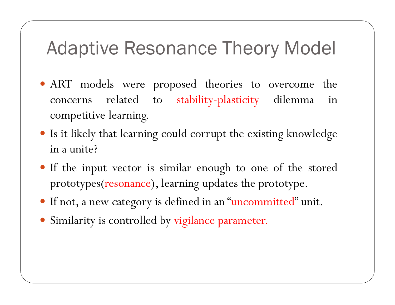#### Adaptive Resonance Theory Model

- ART models were proposed theories to overcome the concerns related to stability-plasticity dilemma in competitive learning.
- Is it likely that learning could corrupt the existing knowledge in <sup>a</sup> unite?
- If the input vector is similar enough to one of the stored prototypes(resonance), learning updates the prototype.
- If not, a new category is defined in an "uncommitted" unit.
- Similarity is controlled by vigilance parameter.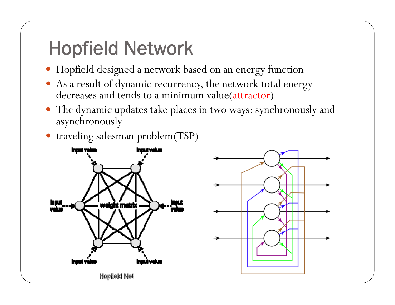## Ho pfield Network

- y Hopfield designed a network based on an energy function
- As a result of dynamic recurrency, the network total energy decreases and tends to a minimum value(attractor )
- The dynamic updates take places in two ways: synchronously and asynchronously
- traveling salesman problem(TSP)



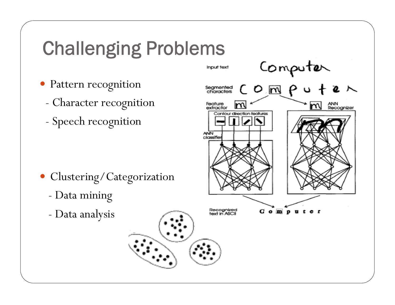### **Challenging Problems**

- Pattern recognition
	- Character recognition
	- -Speech recognition



- Clustering/Categorization
	- Data mining
	- Data analysis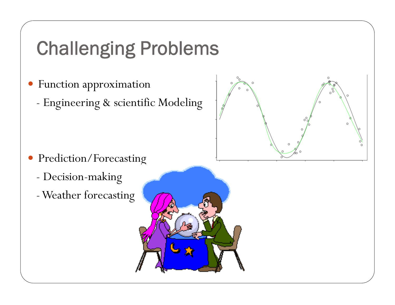## **Challenging Problems**

- Function approximation
	- Engineering & scientific Modeling



- $\bullet$  Prediction/Forecasting
	- -Decision-making
	- -Weather forecasting

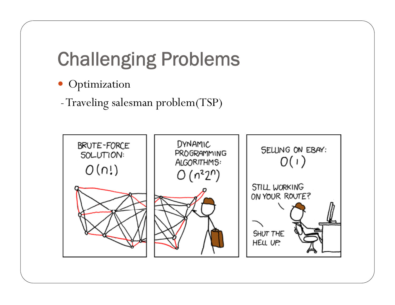# Challenging Problems

- Optimization
- -Traveling salesman problem(TSP)